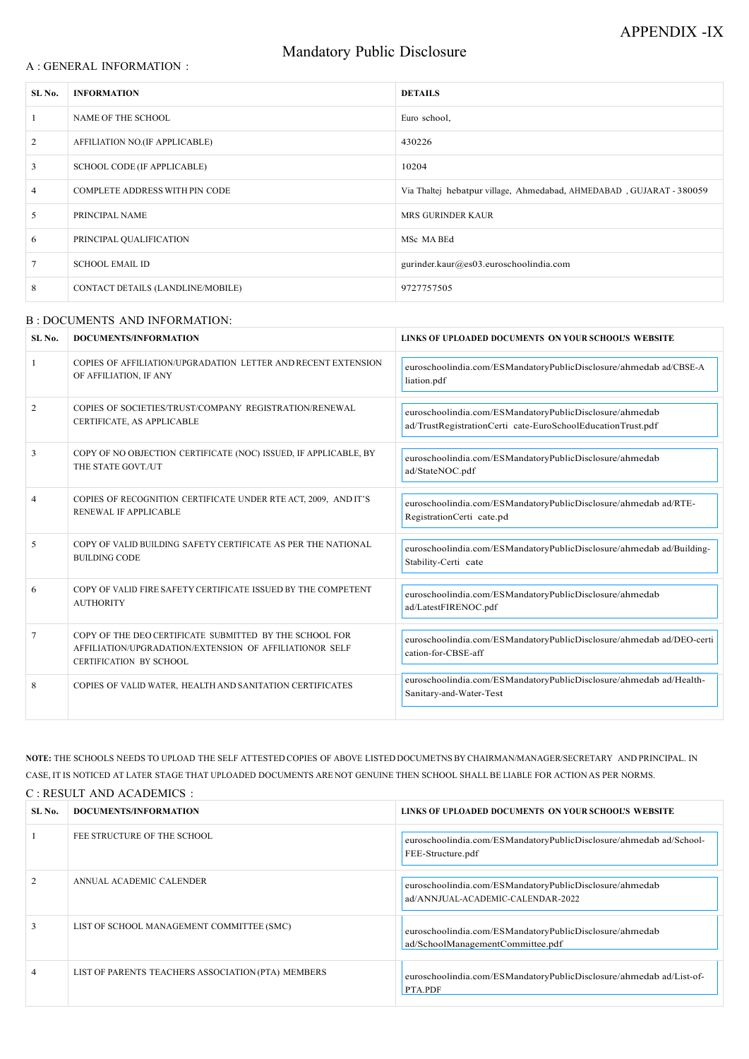| SL No.         | <b>DOCUMENTS/INFORMATION</b>                                                                                                                  | LINKS OF UPLOADED DOCUMENTS ON YOUR SCHOOL'S WEBSITE                                                                   |
|----------------|-----------------------------------------------------------------------------------------------------------------------------------------------|------------------------------------------------------------------------------------------------------------------------|
| $\mathbf{1}$   | COPIES OF AFFILIATION/UPGRADATION LETTER AND RECENT EXTENSION<br>OF AFFILIATION, IF ANY                                                       | euroschoolindia.com/ESMandatoryPublicDisclosure/ahmedab ad/CBSE-A<br>liation.pdf                                       |
| 2              | COPIES OF SOCIETIES/TRUST/COMPANY REGISTRATION/RENEWAL<br>CERTIFICATE, AS APPLICABLE                                                          | euroschoolindia.com/ESMandatoryPublicDisclosure/ahmedab<br>ad/TrustRegistrationCerti cate-EuroSchoolEducationTrust.pdf |
| 3              | COPY OF NO OBJECTION CERTIFICATE (NOC) ISSUED, IF APPLICABLE, BY<br>THE STATE GOVT./UT                                                        | euroschoolindia.com/ESMandatoryPublicDisclosure/ahmedab<br>ad/StateNOC.pdf                                             |
| $\overline{4}$ | COPIES OF RECOGNITION CERTIFICATE UNDER RTE ACT, 2009, AND IT'S<br>RENEWAL IF APPLICABLE                                                      | euroschoolindia.com/ESMandatoryPublicDisclosure/ahmedab ad/RTE-<br>RegistrationCerti cate.pd                           |
| 5              | COPY OF VALID BUILDING SAFETY CERTIFICATE AS PER THE NATIONAL<br><b>BUILDING CODE</b>                                                         | euroschoolindia.com/ESMandatoryPublicDisclosure/ahmedab ad/Building-<br>Stability-Certi cate                           |
| 6              | COPY OF VALID FIRE SAFETY CERTIFICATE ISSUED BY THE COMPETENT<br><b>AUTHORITY</b>                                                             | euroschoolindia.com/ESMandatoryPublicDisclosure/ahmedab<br>ad/LatestFIRENOC.pdf                                        |
| 7              | COPY OF THE DEO CERTIFICATE SUBMITTED BY THE SCHOOL FOR<br>AFFILIATION/UPGRADATION/EXTENSION OF AFFILIATIONOR SELF<br>CERTIFICATION BY SCHOOL | euroschoolindia.com/ESMandatoryPublicDisclosure/ahmedab ad/DEO-certi<br>cation-for-CBSE-aff                            |
| 8              | COPIES OF VALID WATER, HEALTH AND SANITATION CERTIFICATES                                                                                     | euroschoolindia.com/ESMandatoryPublicDisclosure/ahmedab ad/Health-<br>Sanitary-and-Water-Test                          |
|                |                                                                                                                                               |                                                                                                                        |

### A : GENERAL INFORMATION :

# Mandatory Public Disclosure

| SL No.          | <b>INFORMATION</b>                 | <b>DETAILS</b>                                                       |
|-----------------|------------------------------------|----------------------------------------------------------------------|
|                 | NAME OF THE SCHOOL                 | Euro school,                                                         |
| 2               | AFFILIATION NO.(IF APPLICABLE)     | 430226                                                               |
| $\mathbf{3}$    | <b>SCHOOL CODE (IF APPLICABLE)</b> | 10204                                                                |
| $\overline{4}$  | COMPLETE ADDRESS WITH PIN CODE     | Via Thaltej hebatpur village, Ahmedabad, AHMEDABAD, GUJARAT - 380059 |
| $5\overline{)}$ | PRINCIPAL NAME                     | MRS GURINDER KAUR                                                    |
| 6               | PRINCIPAL QUALIFICATION            | MSc MA BEd                                                           |
| $7\phantom{.0}$ | <b>SCHOOL EMAIL ID</b>             | gurinder.kaur@es03.euroschoolindia.com                               |
| 8               | CONTACT DETAILS (LANDLINE/MOBILE)  | 9727757505                                                           |
|                 |                                    |                                                                      |

### B : DOCUMENTS AND INFORMATION:

NOTE: THE SCHOOLS NEEDS TO UPLOAD THE SELF ATTESTED COPIES OF ABOVE LISTED DOCUMETNS BY CHAIRMAN/MANAGER/SECRETARY AND PRINCIPAL. IN CASE, IT IS NOTICED AT LATER STAGE THAT UPLOADED DOCUMENTS ARE NOT GENUINE THEN SCHOOL SHALL BE LIABLE FOR ACTION AS PER NORMS. C : RESULT AND ACADEMICS :

| SL No.         | DOCUMENTS/INFORMATION                              | LINKS OF UPLOADED DOCUMENTS ON YOUR SCHOOL'S WEBSITE                                         |
|----------------|----------------------------------------------------|----------------------------------------------------------------------------------------------|
|                | FEE STRUCTURE OF THE SCHOOL                        | euroschoolindia.com/ESMandatoryPublicDisclosure/ahmedab ad/School-<br>FEE-Structure.pdf      |
| 2              | ANNUAL ACADEMIC CALENDER                           | euroschoolindia.com/ESMandatoryPublicDisclosure/ahmedab<br>ad/ANNJUAL-ACADEMIC-CALENDAR-2022 |
| 3              | LIST OF SCHOOL MANAGEMENT COMMITTEE (SMC)          | euroschoolindia.com/ESMandatoryPublicDisclosure/ahmedab<br>ad/SchoolManagementCommittee.pdf  |
| $\overline{4}$ | LIST OF PARENTS TEACHERS ASSOCIATION (PTA) MEMBERS | euroschoolindia.com/ESMandatoryPublicDisclosure/ahmedab ad/List-of-<br>PTA.PDF               |